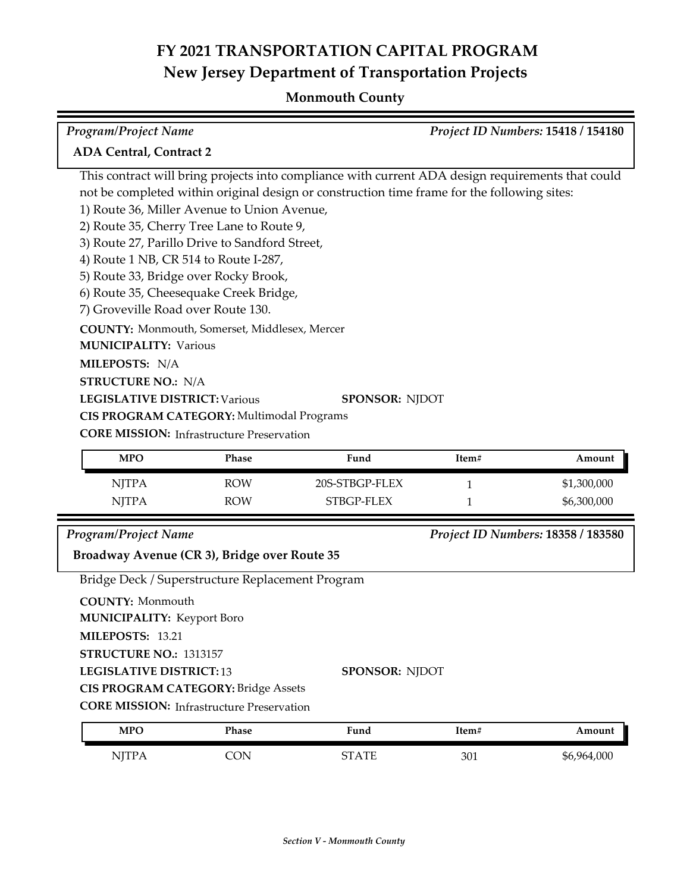| Program/Project Name                                                                                                                                                                                                                                                                                                                                                                                                                                                                                                              |            |                                                                                                                                                                                                                           |       | Project ID Numbers: 15418 / 154180 |
|-----------------------------------------------------------------------------------------------------------------------------------------------------------------------------------------------------------------------------------------------------------------------------------------------------------------------------------------------------------------------------------------------------------------------------------------------------------------------------------------------------------------------------------|------------|---------------------------------------------------------------------------------------------------------------------------------------------------------------------------------------------------------------------------|-------|------------------------------------|
| <b>ADA Central, Contract 2</b>                                                                                                                                                                                                                                                                                                                                                                                                                                                                                                    |            |                                                                                                                                                                                                                           |       |                                    |
| 1) Route 36, Miller Avenue to Union Avenue,<br>2) Route 35, Cherry Tree Lane to Route 9,<br>3) Route 27, Parillo Drive to Sandford Street,<br>4) Route 1 NB, CR 514 to Route I-287,<br>5) Route 33, Bridge over Rocky Brook,<br>6) Route 35, Cheesequake Creek Bridge,<br>7) Groveville Road over Route 130.<br>COUNTY: Monmouth, Somerset, Middlesex, Mercer<br><b>MUNICIPALITY: Various</b><br>MILEPOSTS: N/A<br><b>STRUCTURE NO.: N/A</b><br><b>LEGISLATIVE DISTRICT: Various</b><br>CIS PROGRAM CATEGORY: Multimodal Programs |            | This contract will bring projects into compliance with current ADA design requirements that could<br>not be completed within original design or construction time frame for the following sites:<br><b>SPONSOR: NJDOT</b> |       |                                    |
| <b>CORE MISSION: Infrastructure Preservation</b>                                                                                                                                                                                                                                                                                                                                                                                                                                                                                  |            |                                                                                                                                                                                                                           |       |                                    |
| <b>MPO</b>                                                                                                                                                                                                                                                                                                                                                                                                                                                                                                                        | Phase      | Fund                                                                                                                                                                                                                      | Item# | Amount                             |
| <b>NJTPA</b>                                                                                                                                                                                                                                                                                                                                                                                                                                                                                                                      | <b>ROW</b> | 20S-STBGP-FLEX                                                                                                                                                                                                            | 1     | \$1,300,000                        |
| <b>NJTPA</b>                                                                                                                                                                                                                                                                                                                                                                                                                                                                                                                      | <b>ROW</b> | STBGP-FLEX                                                                                                                                                                                                                | 1     | \$6,300,000                        |
| <b>Program/Project Name</b>                                                                                                                                                                                                                                                                                                                                                                                                                                                                                                       |            |                                                                                                                                                                                                                           |       | Project ID Numbers: 18358 / 183580 |
| Broadway Avenue (CR 3), Bridge over Route 35                                                                                                                                                                                                                                                                                                                                                                                                                                                                                      |            |                                                                                                                                                                                                                           |       |                                    |
| Bridge Deck / Superstructure Replacement Program                                                                                                                                                                                                                                                                                                                                                                                                                                                                                  |            |                                                                                                                                                                                                                           |       |                                    |
| <b>COUNTY: Monmouth</b><br><b>MUNICIPALITY: Keyport Boro</b><br>MILEPOSTS: 13.21<br>STRUCTURE NO.: 1313157<br><b>LEGISLATIVE DISTRICT: 13</b><br><b>CIS PROGRAM CATEGORY: Bridge Assets</b><br><b>CORE MISSION:</b> Infrastructure Preservation                                                                                                                                                                                                                                                                                   |            | SPONSOR: NJDOT                                                                                                                                                                                                            |       |                                    |
| <b>MPO</b>                                                                                                                                                                                                                                                                                                                                                                                                                                                                                                                        | Phase      | Fund                                                                                                                                                                                                                      | Item# | Amount                             |
| <b>NJTPA</b>                                                                                                                                                                                                                                                                                                                                                                                                                                                                                                                      | <b>CON</b> | <b>STATE</b>                                                                                                                                                                                                              | 301   | \$6,964,000                        |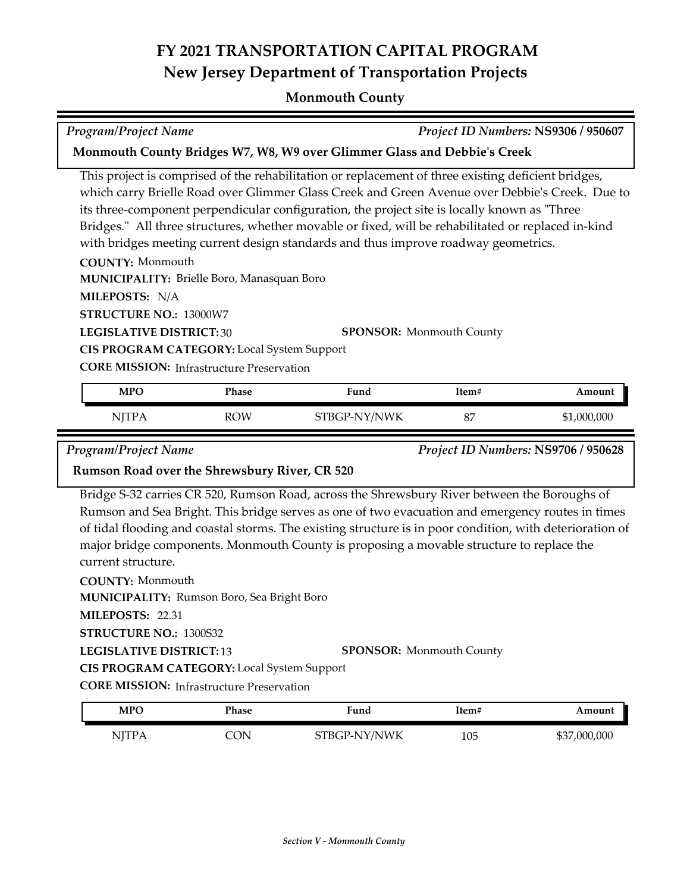#### **Monmouth County**

# *Program/Project Name Project ID Numbers:* **NS9306 / 950607**

#### **Monmouth County Bridges W7, W8, W9 over Glimmer Glass and Debbie's Creek**

This project is comprised of the rehabilitation or replacement of three existing deficient bridges, which carry Brielle Road over Glimmer Glass Creek and Green Avenue over Debbie's Creek. Due to its three-component perpendicular configuration, the project site is locally known as "Three Bridges." All three structures, whether movable or fixed, will be rehabilitated or replaced in-kind with bridges meeting current design standards and thus improve roadway geometrics.

**COUNTY:** Monmouth **LEGISLATIVE DISTRICT:** 30 **MILEPOSTS:** N/A **STRUCTURE NO.:** 13000W7 **MUNICIPALITY: Brielle Boro, Manasquan Boro CORE MISSION: Infrastructure Preservation SPONSOR:** Monmouth County **CIS PROGRAM CATEGORY:** Local System Support

| MPO   | Phase | Fund         | Item# | Amount      |
|-------|-------|--------------|-------|-------------|
| NJTPA | ROW   | STBGP-NY/NWK | 87    | \$1,000,000 |

*Program/Project Name Project ID Numbers:* **NS9706 / 950628**

#### **Rumson Road over the Shrewsbury River, CR 520**

Bridge S‐32 carries CR 520, Rumson Road, across the Shrewsbury River between the Boroughs of Rumson and Sea Bright. This bridge serves as one of two evacuation and emergency routes in times of tidal flooding and coastal storms. The existing structure is in poor condition, with deterioration of major bridge components. Monmouth County is proposing a movable structure to replace the current structure.

**COUNTY:** Monmouth **LEGISLATIVE DISTRICT:** 13 **MILEPOSTS:** 22.31 **STRUCTURE NO.:** 1300S32 **MUNICIPALITY: Rumson Boro, Sea Bright Boro SPONSOR:** Monmouth County **CIS PROGRAM CATEGORY:** Local System Support

**CORE MISSION:** Infrastructure Preservation

| MPO   | Phase | Fund         | 'tem# | Amount       |
|-------|-------|--------------|-------|--------------|
| NITPA | ነገገ   | STBGP-NY/NWK | 105   | \$37,000,000 |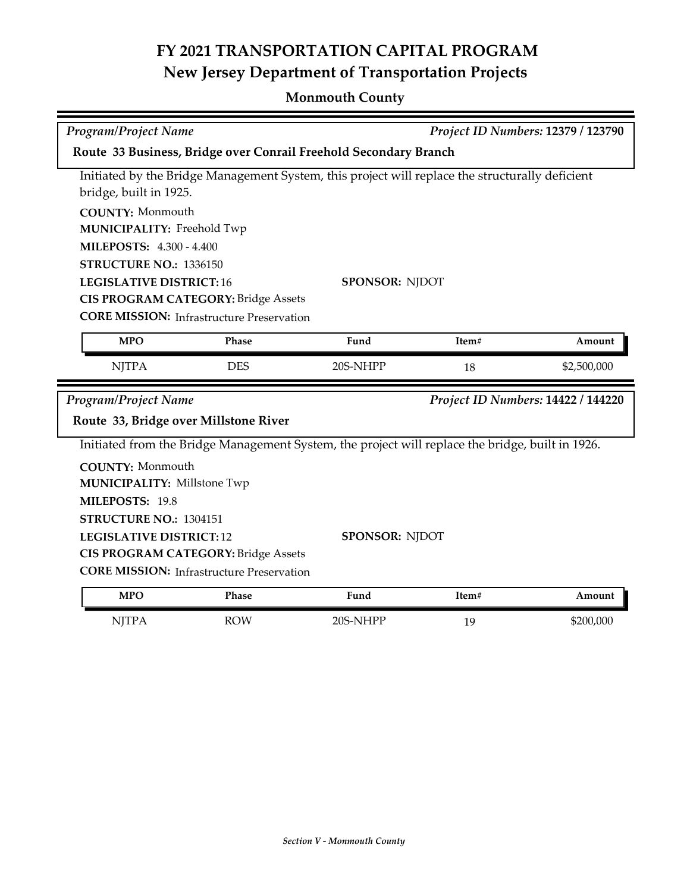| Project ID Numbers: 12379 / 123790<br><b>Program/Project Name</b> |                                                                                                  |                       |       |                                    |  |  |
|-------------------------------------------------------------------|--------------------------------------------------------------------------------------------------|-----------------------|-------|------------------------------------|--|--|
| Route 33 Business, Bridge over Conrail Freehold Secondary Branch  |                                                                                                  |                       |       |                                    |  |  |
|                                                                   | Initiated by the Bridge Management System, this project will replace the structurally deficient  |                       |       |                                    |  |  |
| bridge, built in 1925.                                            |                                                                                                  |                       |       |                                    |  |  |
| <b>COUNTY: Monmouth</b>                                           |                                                                                                  |                       |       |                                    |  |  |
| <b>MUNICIPALITY: Freehold Twp</b>                                 |                                                                                                  |                       |       |                                    |  |  |
| <b>MILEPOSTS: 4.300 - 4.400</b>                                   |                                                                                                  |                       |       |                                    |  |  |
| STRUCTURE NO.: 1336150                                            |                                                                                                  |                       |       |                                    |  |  |
| <b>LEGISLATIVE DISTRICT:16</b>                                    |                                                                                                  | <b>SPONSOR: NJDOT</b> |       |                                    |  |  |
|                                                                   | <b>CIS PROGRAM CATEGORY: Bridge Assets</b>                                                       |                       |       |                                    |  |  |
|                                                                   | <b>CORE MISSION:</b> Infrastructure Preservation                                                 |                       |       |                                    |  |  |
| <b>MPO</b>                                                        | Phase                                                                                            | Fund                  | Item# | Amount                             |  |  |
| <b>NJTPA</b>                                                      | <b>DES</b>                                                                                       | 20S-NHPP              | 18    | \$2,500,000                        |  |  |
| Program/Project Name                                              |                                                                                                  |                       |       | Project ID Numbers: 14422 / 144220 |  |  |
|                                                                   | Route 33, Bridge over Millstone River                                                            |                       |       |                                    |  |  |
|                                                                   | Initiated from the Bridge Management System, the project will replace the bridge, built in 1926. |                       |       |                                    |  |  |
| <b>COUNTY: Monmouth</b>                                           |                                                                                                  |                       |       |                                    |  |  |
| <b>MUNICIPALITY: Millstone Twp</b>                                |                                                                                                  |                       |       |                                    |  |  |
| MILEPOSTS: 19.8                                                   |                                                                                                  |                       |       |                                    |  |  |
| STRUCTURE NO.: 1304151                                            |                                                                                                  |                       |       |                                    |  |  |
| <b>LEGISLATIVE DISTRICT: 12</b><br><b>SPONSOR: NJDOT</b>          |                                                                                                  |                       |       |                                    |  |  |
|                                                                   | <b>CIS PROGRAM CATEGORY: Bridge Assets</b>                                                       |                       |       |                                    |  |  |
|                                                                   | <b>CORE MISSION:</b> Infrastructure Preservation                                                 |                       |       |                                    |  |  |
| <b>MPO</b>                                                        | Phase                                                                                            | Fund                  | Item# | Amount                             |  |  |
| <b>NJTPA</b>                                                      | <b>ROW</b>                                                                                       | 20S-NHPP              | 19    | \$200,000                          |  |  |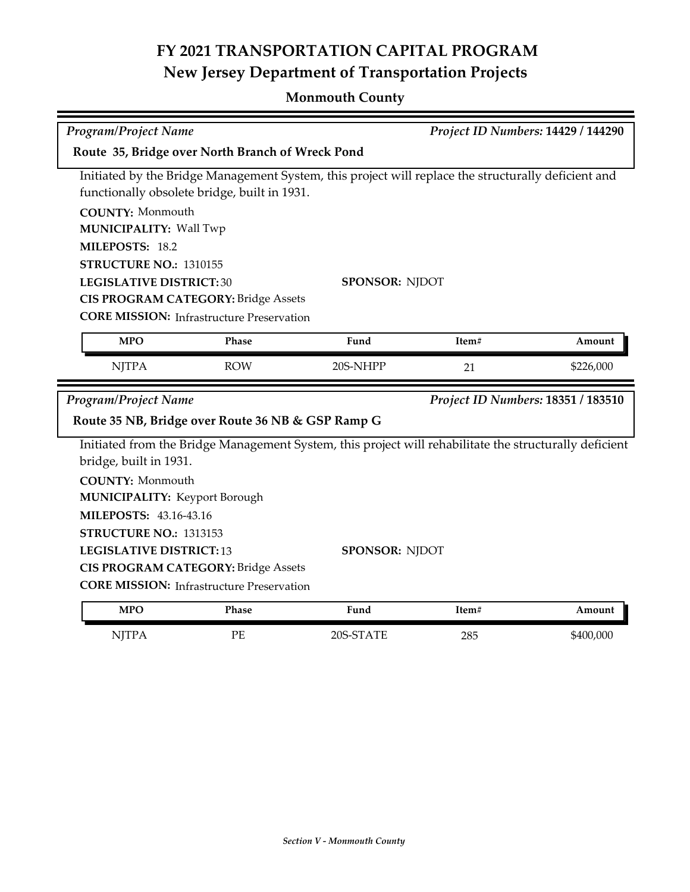|                                                  | Program/Project Name<br>Project ID Numbers: 14429 / 144290 |                                                                                                        |       |                                    |  |
|--------------------------------------------------|------------------------------------------------------------|--------------------------------------------------------------------------------------------------------|-------|------------------------------------|--|
| Route 35, Bridge over North Branch of Wreck Pond |                                                            |                                                                                                        |       |                                    |  |
|                                                  |                                                            | Initiated by the Bridge Management System, this project will replace the structurally deficient and    |       |                                    |  |
|                                                  | functionally obsolete bridge, built in 1931.               |                                                                                                        |       |                                    |  |
| <b>COUNTY: Monmouth</b>                          |                                                            |                                                                                                        |       |                                    |  |
| <b>MUNICIPALITY: Wall Twp</b>                    |                                                            |                                                                                                        |       |                                    |  |
| MILEPOSTS: 18.2                                  |                                                            |                                                                                                        |       |                                    |  |
| STRUCTURE NO.: 1310155                           |                                                            |                                                                                                        |       |                                    |  |
| <b>LEGISLATIVE DISTRICT:30</b>                   |                                                            | <b>SPONSOR: NJDOT</b>                                                                                  |       |                                    |  |
|                                                  | <b>CIS PROGRAM CATEGORY: Bridge Assets</b>                 |                                                                                                        |       |                                    |  |
|                                                  | <b>CORE MISSION:</b> Infrastructure Preservation           |                                                                                                        |       |                                    |  |
| <b>MPO</b>                                       | Phase                                                      | Fund                                                                                                   | Item# | Amount                             |  |
| <b>NJTPA</b>                                     | <b>ROW</b>                                                 | 20S-NHPP                                                                                               | 21    | \$226,000                          |  |
|                                                  |                                                            |                                                                                                        |       |                                    |  |
| <b>Program/Project Name</b>                      |                                                            |                                                                                                        |       | Project ID Numbers: 18351 / 183510 |  |
|                                                  | Route 35 NB, Bridge over Route 36 NB & GSP Ramp G          |                                                                                                        |       |                                    |  |
|                                                  |                                                            | Initiated from the Bridge Management System, this project will rehabilitate the structurally deficient |       |                                    |  |
| bridge, built in 1931.                           |                                                            |                                                                                                        |       |                                    |  |
| <b>COUNTY: Monmouth</b>                          |                                                            |                                                                                                        |       |                                    |  |
| <b>MUNICIPALITY: Keyport Borough</b>             |                                                            |                                                                                                        |       |                                    |  |
| <b>MILEPOSTS: 43.16-43.16</b>                    |                                                            |                                                                                                        |       |                                    |  |
| STRUCTURE NO.: 1313153                           |                                                            |                                                                                                        |       |                                    |  |
| <b>LEGISLATIVE DISTRICT:13</b>                   |                                                            | SPONSOR: NJDOT                                                                                         |       |                                    |  |
|                                                  | <b>CIS PROGRAM CATEGORY: Bridge Assets</b>                 |                                                                                                        |       |                                    |  |
|                                                  | <b>CORE MISSION:</b> Infrastructure Preservation           |                                                                                                        |       |                                    |  |
| <b>MPO</b>                                       | Phase                                                      | Fund                                                                                                   | Item# | Amount                             |  |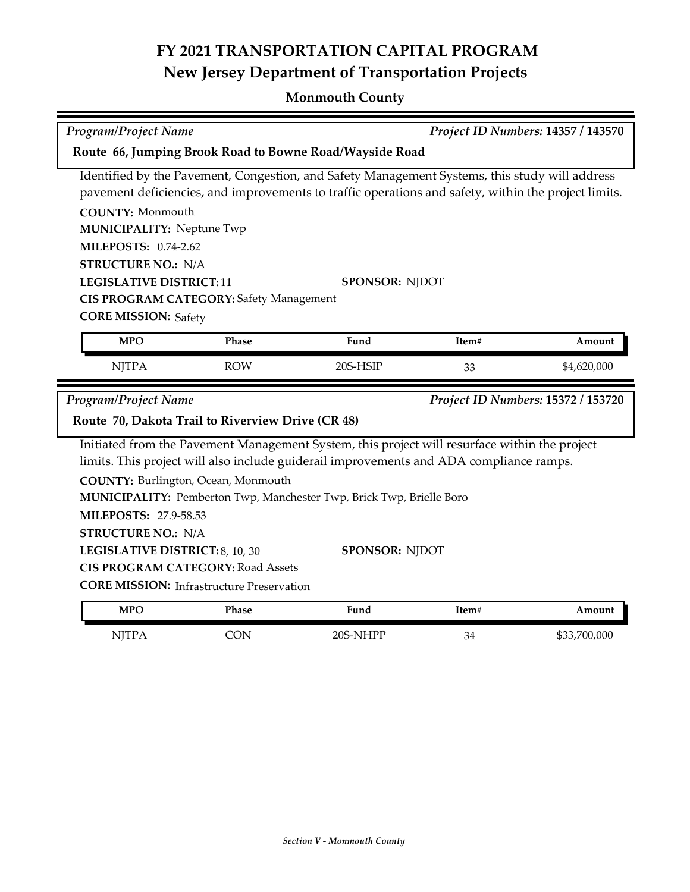| <b>Program/Project Name</b><br>Project ID Numbers: 14357 / 143570                              |                                                                   |                                                                                                      |       |              |  |  |
|------------------------------------------------------------------------------------------------|-------------------------------------------------------------------|------------------------------------------------------------------------------------------------------|-------|--------------|--|--|
| Route 66, Jumping Brook Road to Bowne Road/Wayside Road                                        |                                                                   |                                                                                                      |       |              |  |  |
| Identified by the Pavement, Congestion, and Safety Management Systems, this study will address |                                                                   |                                                                                                      |       |              |  |  |
|                                                                                                |                                                                   | pavement deficiencies, and improvements to traffic operations and safety, within the project limits. |       |              |  |  |
| <b>COUNTY: Monmouth</b>                                                                        |                                                                   |                                                                                                      |       |              |  |  |
| <b>MUNICIPALITY: Neptune Twp</b>                                                               |                                                                   |                                                                                                      |       |              |  |  |
| <b>MILEPOSTS: 0.74-2.62</b>                                                                    |                                                                   |                                                                                                      |       |              |  |  |
| <b>STRUCTURE NO.: N/A</b>                                                                      |                                                                   |                                                                                                      |       |              |  |  |
| <b>LEGISLATIVE DISTRICT:11</b>                                                                 |                                                                   | <b>SPONSOR: NJDOT</b>                                                                                |       |              |  |  |
|                                                                                                | <b>CIS PROGRAM CATEGORY: Safety Management</b>                    |                                                                                                      |       |              |  |  |
| <b>CORE MISSION: Safety</b>                                                                    |                                                                   |                                                                                                      |       |              |  |  |
| <b>MPO</b>                                                                                     | Phase                                                             | Fund                                                                                                 | Item# | Amount       |  |  |
| <b>NJTPA</b>                                                                                   | <b>ROW</b>                                                        | 20S-HSIP                                                                                             | 33    | \$4,620,000  |  |  |
|                                                                                                | <b>Program/Project Name</b><br>Project ID Numbers: 15372 / 153720 |                                                                                                      |       |              |  |  |
|                                                                                                | Route 70, Dakota Trail to Riverview Drive (CR 48)                 |                                                                                                      |       |              |  |  |
|                                                                                                |                                                                   | Initiated from the Pavement Management System, this project will resurface within the project        |       |              |  |  |
|                                                                                                |                                                                   | limits. This project will also include guiderail improvements and ADA compliance ramps.              |       |              |  |  |
|                                                                                                | COUNTY: Burlington, Ocean, Monmouth                               |                                                                                                      |       |              |  |  |
|                                                                                                |                                                                   |                                                                                                      |       |              |  |  |
|                                                                                                |                                                                   | MUNICIPALITY: Pemberton Twp, Manchester Twp, Brick Twp, Brielle Boro                                 |       |              |  |  |
| <b>MILEPOSTS: 27.9-58.53</b>                                                                   |                                                                   |                                                                                                      |       |              |  |  |
| <b>STRUCTURE NO.: N/A</b>                                                                      |                                                                   |                                                                                                      |       |              |  |  |
| LEGISLATIVE DISTRICT: 8, 10, 30                                                                |                                                                   | <b>SPONSOR: NJDOT</b>                                                                                |       |              |  |  |
|                                                                                                | <b>CIS PROGRAM CATEGORY: Road Assets</b>                          |                                                                                                      |       |              |  |  |
|                                                                                                | <b>CORE MISSION:</b> Infrastructure Preservation                  |                                                                                                      |       |              |  |  |
| <b>MPO</b>                                                                                     | <b>Phase</b>                                                      | Fund                                                                                                 | Item# | Amount       |  |  |
| <b>NJTPA</b>                                                                                   | <b>CON</b>                                                        | 20S-NHPP                                                                                             | 34    | \$33,700,000 |  |  |